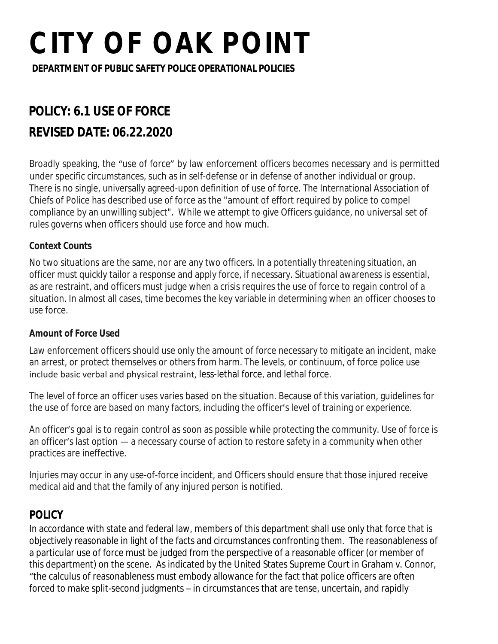**DEPARTMENT OF PUBLIC SAFETY POLICE OPERATIONAL POLICIES**

### **POLICY: 6.1 USE OF FORCE REVISED DATE: 06.22.2020**

Broadly speaking, the "use of force" by law enforcement officers becomes necessary and is permitted under specific circumstances, such as in self-defense or in defense of another individual or group. There is no single, universally agreed-upon definition of use of force. The International Association of Chiefs of Police has described use of force as the "amount of effort required by police to compel compliance by an unwilling subject". While we attempt to give Officers guidance, no universal set of rules governs when officers should use force and how much.

### **Context Counts**

No two situations are the same, nor are any two officers. In a potentially threatening situation, an officer must quickly tailor a response and apply force, if necessary. Situational awareness is essential, as are restraint, and officers must judge when a crisis requires the use of force to regain control of a situation. In almost all cases, time becomes the key variable in determining when an officer chooses to use force.

### **Amount of Force Used**

Law enforcement officers should use only the amount of force necessary to mitigate an incident, make an arrest, or protect themselves or others from harm. The levels, or continuum, of force police use include basic verbal and physical restraint, less-lethal force, and lethal force.

The level of force an officer uses varies based on the situation. Because of this variation, guidelines for the use of force are based on many factors, including the officer's level of training or experience.

An officer's goal is to regain control as soon as possible while protecting the community. Use of force is an officer's last option — a necessary course of action to restore safety in a community when other practices are ineffective.

Injuries may occur in any use-of-force incident, and Officers should ensure that those injured receive medical aid and that the family of any injured person is notified.

### **POLICY**

In accordance with state and federal law, members of this department shall use only that force that is objectively reasonable in light of the facts and circumstances confronting them. The reasonableness of a particular use of force must be judged from the perspective of a reasonable officer (or member of this department) on the scene. As indicated by the United States Supreme Court in Graham v. Connor, "the calculus of reasonableness must embody allowance for the fact that police officers are often forced to make split-second judgments – in circumstances that are tense, uncertain, and rapidly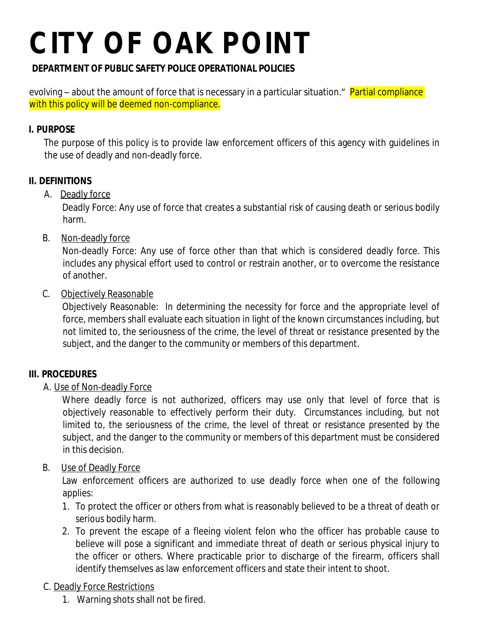### **DEPARTMENT OF PUBLIC SAFETY POLICE OPERATIONAL POLICIES**

evolving – about the amount of force that is necessary in a particular situation." Partial compliance with this policy will be deemed non-compliance.

### **I. PURPOSE**

The purpose of this policy is to provide law enforcement officers of this agency with guidelines in the use of deadly and non-deadly force.

### **II. DEFINITIONS**

### A. Deadly force

Deadly Force: Any use of force that creates a substantial risk of causing death or serious bodily harm.

B. Non-deadly force

Non-deadly Force: Any use of force other than that which is considered deadly force. This includes any physical effort used to control or restrain another, or to overcome the resistance of another.

### C. Objectively Reasonable

Objectively Reasonable: In determining the necessity for force and the appropriate level of force, members shall evaluate each situation in light of the known circumstances including, but not limited to, the seriousness of the crime, the level of threat or resistance presented by the subject, and the danger to the community or members of this department.

### **III. PROCEDURES**

### A. Use of Non-deadly Force

Where deadly force is not authorized, officers may use only that level of force that is objectively reasonable to effectively perform their duty. Circumstances including, but not limited to, the seriousness of the crime, the level of threat or resistance presented by the subject, and the danger to the community or members of this department must be considered in this decision.

### B. Use of Deadly Force

Law enforcement officers are authorized to use deadly force when one of the following applies:

- 1. To protect the officer or others from what is reasonably believed to be a threat of death or serious bodily harm.
- 2. To prevent the escape of a fleeing violent felon who the officer has probable cause to believe will pose a significant and immediate threat of death or serious physical injury to the officer or others. Where practicable prior to discharge of the firearm, officers shall identify themselves as law enforcement officers and state their intent to shoot.

### C. Deadly Force Restrictions

1. Warning shots shall not be fired.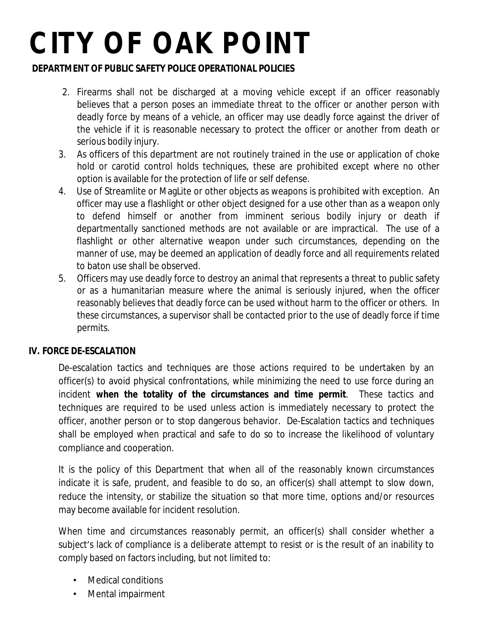### **DEPARTMENT OF PUBLIC SAFETY POLICE OPERATIONAL POLICIES**

- 2. Firearms shall not be discharged at a moving vehicle except if an officer reasonably believes that a person poses an immediate threat to the officer or another person with deadly force by means of a vehicle, an officer may use deadly force against the driver of the vehicle if it is reasonable necessary to protect the officer or another from death or serious bodily injury.
- 3. As officers of this department are not routinely trained in the use or application of choke hold or carotid control holds techniques, these are prohibited except where no other option is available for the protection of life or self defense.
- 4. Use of Streamlite or MagLite or other objects as weapons is prohibited with exception. An officer may use a flashlight or other object designed for a use other than as a weapon only to defend himself or another from imminent serious bodily injury or death if departmentally sanctioned methods are not available or are impractical. The use of a flashlight or other alternative weapon under such circumstances, depending on the manner of use, may be deemed an application of deadly force and all requirements related to baton use shall be observed.
- 5. Officers may use deadly force to destroy an animal that represents a threat to public safety or as a humanitarian measure where the animal is seriously injured, when the officer reasonably believes that deadly force can be used without harm to the officer or others. In these circumstances, a supervisor shall be contacted prior to the use of deadly force if time permits.

### **IV. FORCE DE-ESCALATION**

De-escalation tactics and techniques are those actions required to be undertaken by an officer(s) to avoid physical confrontations, while minimizing the need to use force during an incident **when the totality of the circumstances and time permit**. These tactics and techniques are required to be used unless action is immediately necessary to protect the officer, another person or to stop dangerous behavior. De-Escalation tactics and techniques shall be employed when practical and safe to do so to increase the likelihood of voluntary compliance and cooperation.

It is the policy of this Department that when all of the reasonably known circumstances indicate it is safe, prudent, and feasible to do so, an officer(s) shall attempt to slow down, reduce the intensity, or stabilize the situation so that more time, options and/or resources may become available for incident resolution.

When time and circumstances reasonably permit, an officer(s) shall consider whether a subject's lack of compliance is a deliberate attempt to resist or is the result of an inability to comply based on factors including, but not limited to:

- Medical conditions
- Mental impairment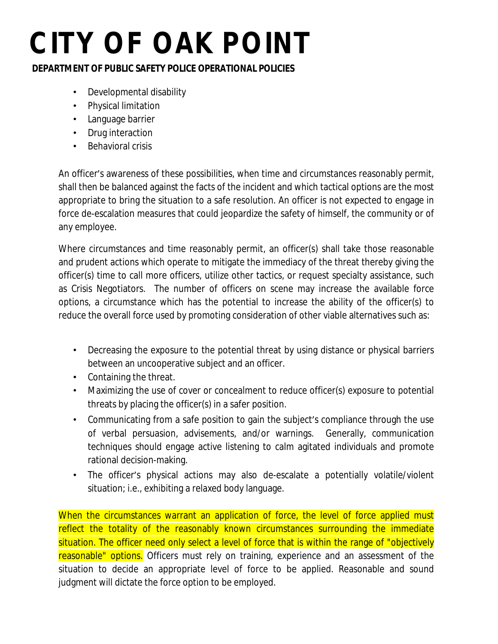### **DEPARTMENT OF PUBLIC SAFETY POLICE OPERATIONAL POLICIES**

- Developmental disability
- Physical limitation
- Language barrier
- Drug interaction
- Behavioral crisis

An officer's awareness of these possibilities, when time and circumstances reasonably permit, shall then be balanced against the facts of the incident and which tactical options are the most appropriate to bring the situation to a safe resolution. An officer is not expected to engage in force de-escalation measures that could jeopardize the safety of himself, the community or of any employee.

Where circumstances and time reasonably permit, an officer(s) shall take those reasonable and prudent actions which operate to mitigate the immediacy of the threat thereby giving the officer(s) time to call more officers, utilize other tactics, or request specialty assistance, such as Crisis Negotiators. The number of officers on scene may increase the available force options, a circumstance which has the potential to increase the ability of the officer(s) to reduce the overall force used by promoting consideration of other viable alternatives such as:

- Decreasing the exposure to the potential threat by using distance or physical barriers between an uncooperative subject and an officer.
- Containing the threat.
- Maximizing the use of cover or concealment to reduce officer(s) exposure to potential threats by placing the officer(s) in a safer position.
- Communicating from a safe position to gain the subject's compliance through the use of verbal persuasion, advisements, and/or warnings. Generally, communication techniques should engage active listening to calm agitated individuals and promote rational decision-making.
- The officer's physical actions may also de-escalate a potentially volatile/violent situation; i.e., exhibiting a relaxed body language.

When the circumstances warrant an application of force, the level of force applied must reflect the totality of the reasonably known circumstances surrounding the immediate situation. The officer need only select a level of force that is within the range of "objectively reasonable" options. Officers must rely on training, experience and an assessment of the situation to decide an appropriate level of force to be applied. Reasonable and sound judgment will dictate the force option to be employed.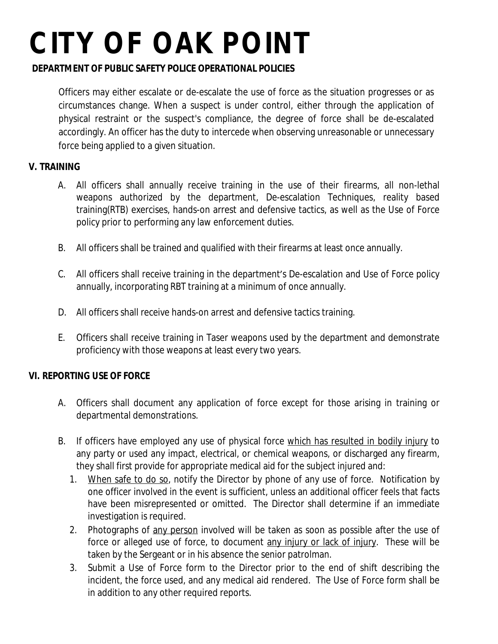### **DEPARTMENT OF PUBLIC SAFETY POLICE OPERATIONAL POLICIES**

Officers may either escalate or de-escalate the use of force as the situation progresses or as circumstances change. When a suspect is under control, either through the application of physical restraint or the suspect's compliance, the degree of force shall be de-escalated accordingly. An officer has the duty to intercede when observing unreasonable or unnecessary force being applied to a given situation.

### **V. TRAINING**

- A. All officers shall annually receive training in the use of their firearms, all non-lethal weapons authorized by the department, De-escalation Techniques, reality based training(RTB) exercises, hands-on arrest and defensive tactics, as well as the Use of Force policy prior to performing any law enforcement duties.
- B. All officers shall be trained and qualified with their firearms at least once annually.
- C. All officers shall receive training in the department's De-escalation and Use of Force policy annually, incorporating RBT training at a minimum of once annually.
- D. All officers shall receive hands-on arrest and defensive tactics training.
- E. Officers shall receive training in Taser weapons used by the department and demonstrate proficiency with those weapons at least every two years.

### **VI. REPORTING USE OF FORCE**

- A. Officers shall document any application of force except for those arising in training or departmental demonstrations.
- B. If officers have employed any use of physical force which has resulted in bodily injury to any party or used any impact, electrical, or chemical weapons, or discharged any firearm, they shall first provide for appropriate medical aid for the subject injured and:
	- 1. When safe to do so, notify the Director by phone of any use of force. Notification by one officer involved in the event is sufficient, unless an additional officer feels that facts have been misrepresented or omitted. The Director shall determine if an immediate investigation is required.
	- 2. Photographs of any person involved will be taken as soon as possible after the use of force or alleged use of force, to document any injury or lack of injury. These will be taken by the Sergeant or in his absence the senior patrolman.
	- 3. Submit a Use of Force form to the Director prior to the end of shift describing the incident, the force used, and any medical aid rendered. The Use of Force form shall be in addition to any other required reports.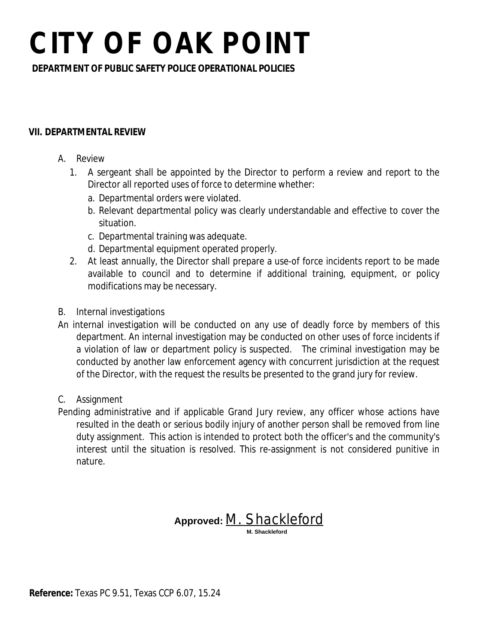**DEPARTMENT OF PUBLIC SAFETY POLICE OPERATIONAL POLICIES**

#### **VII. DEPARTMENTAL REVIEW**

- A. Review
	- 1. A sergeant shall be appointed by the Director to perform a review and report to the Director all reported uses of force to determine whether:
		- a. Departmental orders were violated.
		- b. Relevant departmental policy was clearly understandable and effective to cover the situation.
		- c. Departmental training was adequate.
		- d. Departmental equipment operated properly.
	- 2. At least annually, the Director shall prepare a use-of force incidents report to be made available to council and to determine if additional training, equipment, or policy modifications may be necessary.
- B. Internal investigations
- An internal investigation will be conducted on any use of deadly force by members of this department. An internal investigation may be conducted on other uses of force incidents if a violation of law or department policy is suspected. The criminal investigation may be conducted by another law enforcement agency with concurrent jurisdiction at the request of the Director, with the request the results be presented to the grand jury for review.
- C. Assignment

Pending administrative and if applicable Grand Jury review, any officer whose actions have resulted in the death or serious bodily injury of another person shall be removed from line duty assignment. This action is intended to protect both the officer's and the community's interest until the situation is resolved. This re-assignment is not considered punitive in nature.

### **Approved:** *M. Shackleford*  **M. Shackleford**

**Reference:** Texas PC 9.51, Texas CCP 6.07, 15.24